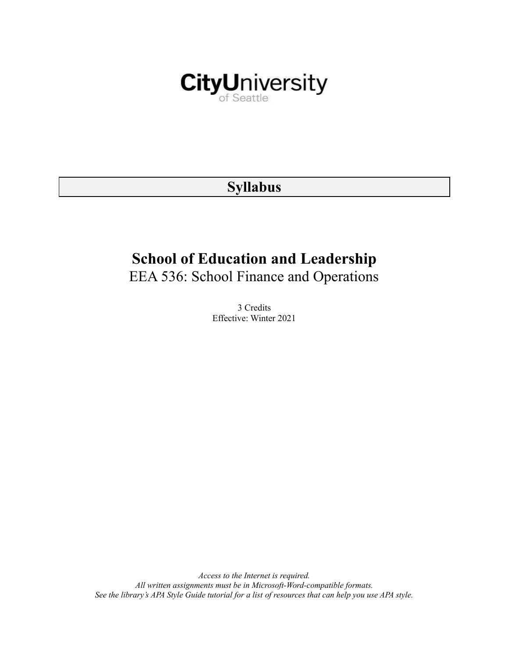

# **Syllabus**

# **School of Education and Leadership**

EEA 536: School Finance and Operations

3 Credits Effective: Winter 2021

*Access to the Internet is required. All written assignments must be in Microsoft-Word-compatible formats.* See the library's APA Style Guide tutorial for a list of resources that can help you use APA style.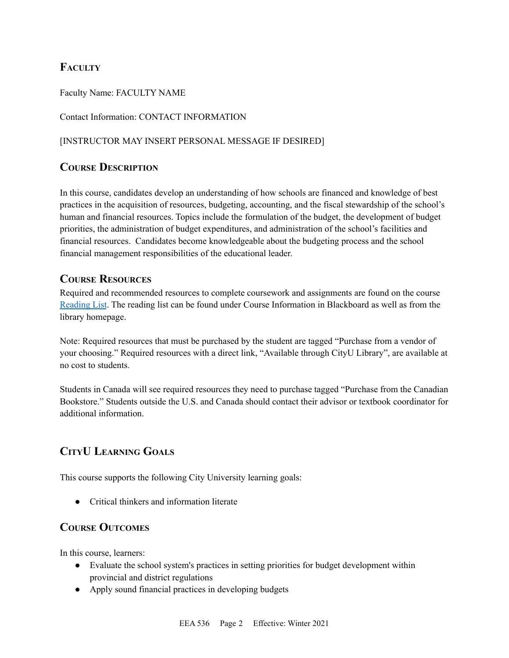# **FACULTY**

Faculty Name: FACULTY NAME

Contact Information: CONTACT INFORMATION

# [INSTRUCTOR MAY INSERT PERSONAL MESSAGE IF DESIRED]

# **COURSE DESCRIPTION**

In this course, candidates develop an understanding of how schools are financed and knowledge of best practices in the acquisition of resources, budgeting, accounting, and the fiscal stewardship of the school's human and financial resources. Topics include the formulation of the budget, the development of budget priorities, the administration of budget expenditures, and administration of the school's facilities and financial resources. Candidates become knowledgeable about the budgeting process and the school financial management responsibilities of the educational leader.

# **COURSE RESOURCES**

Required and recommended resources to complete coursework and assignments are found on the course [Reading](https://nam03.safelinks.protection.outlook.com/?url=https%3A%2F%2Fcityu.alma.exlibrisgroup.com%2Fleganto%2Flogin%3Fauth%3DSAML&data=04%7C01%7CMMara%40cityu.edu%7C70673ce0fe0144040eda08d87472e204%7Cb3fa96d9f5154662add763d854e39e63%7C1%7C0%7C637387384066198115%7CUnknown%7CTWFpbGZsb3d8eyJWIjoiMC4wLjAwMDAiLCJQIjoiV2luMzIiLCJBTiI6Ik1haWwiLCJXVCI6Mn0%3D%7C1000&sdata=JbwP%2Fm5Q%2BMgIUWa%2FXceos%2BoiLv0DX%2B%2FL%2BNGNMbX9P8E%3D&reserved=0) List. The reading list can be found under Course Information in Blackboard as well as from the library homepage.

Note: Required resources that must be purchased by the student are tagged "Purchase from a vendor of your choosing." Required resources with a direct link, "Available through CityU Library", are available at no cost to students.

Students in Canada will see required resources they need to purchase tagged "Purchase from the Canadian Bookstore." Students outside the U.S. and Canada should contact their advisor or textbook coordinator for additional information.

# **CITYU LEARNING GOALS**

This course supports the following City University learning goals:

• Critical thinkers and information literate

# **COURSE OUTCOMES**

In this course, learners:

- Evaluate the school system's practices in setting priorities for budget development within provincial and district regulations
- Apply sound financial practices in developing budgets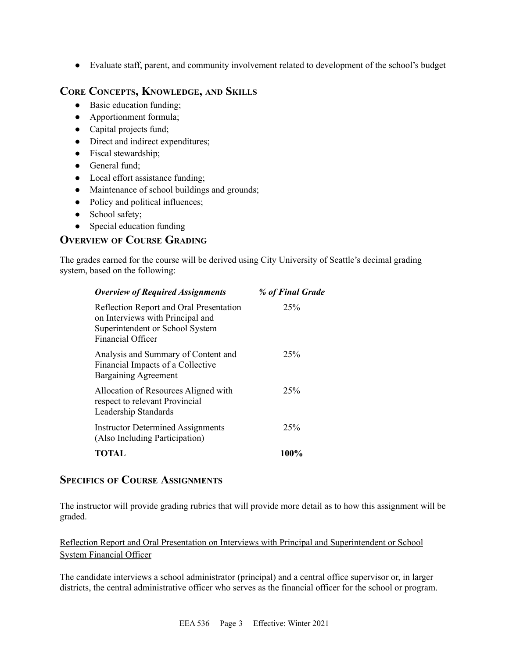● Evaluate staff, parent, and community involvement related to development of the school's budget

# **CORE CONCEPTS, KNOWLEDGE, AND SKILLS**

- Basic education funding;
- Apportionment formula;
- Capital projects fund;
- Direct and indirect expenditures;
- Fiscal stewardship;
- General fund;
- Local effort assistance funding;
- Maintenance of school buildings and grounds;
- Policy and political influences;
- School safety;
- Special education funding

# **OVERVIEW OF COURSE GRADING**

The grades earned for the course will be derived using City University of Seattle's decimal grading system, based on the following:

| <b>Overview of Required Assignments</b>                                                                                                    | % of Final Grade |
|--------------------------------------------------------------------------------------------------------------------------------------------|------------------|
| Reflection Report and Oral Presentation<br>on Interviews with Principal and<br>Superintendent or School System<br><b>Financial Officer</b> | 25%              |
| Analysis and Summary of Content and<br>Financial Impacts of a Collective<br><b>Bargaining Agreement</b>                                    | 25%              |
| Allocation of Resources Aligned with<br>respect to relevant Provincial<br>Leadership Standards                                             | 25%              |
| <b>Instructor Determined Assignments</b><br>(Also Including Participation)                                                                 | 25%              |
| <b>TOTAL</b>                                                                                                                               | 100%             |

# **SPECIFICS OF COURSE ASSIGNMENTS**

The instructor will provide grading rubrics that will provide more detail as to how this assignment will be graded.

Reflection Report and Oral Presentation on Interviews with Principal and Superintendent or School System Financial Officer

The candidate interviews a school administrator (principal) and a central office supervisor or, in larger districts, the central administrative officer who serves as the financial officer for the school or program.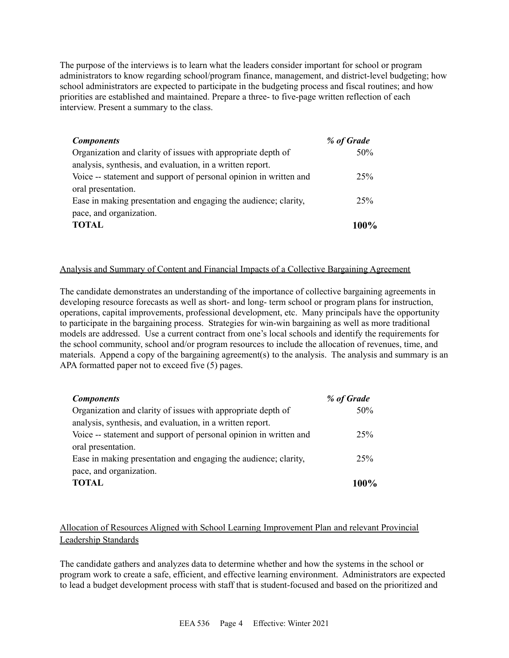The purpose of the interviews is to learn what the leaders consider important for school or program administrators to know regarding school/program finance, management, and district-level budgeting; how school administrators are expected to participate in the budgeting process and fiscal routines; and how priorities are established and maintained. Prepare a three- to five-page written reflection of each interview. Present a summary to the class.

| <b>Components</b>                                                 | % of Grade |
|-------------------------------------------------------------------|------------|
| Organization and clarity of issues with appropriate depth of      | 50%        |
| analysis, synthesis, and evaluation, in a written report.         |            |
| Voice -- statement and support of personal opinion in written and | 25%        |
| oral presentation.                                                |            |
| Ease in making presentation and engaging the audience; clarity,   | 25%        |
| pace, and organization.                                           |            |
| <b>TOTAL</b>                                                      | $100\%$    |

#### Analysis and Summary of Content and Financial Impacts of a Collective Bargaining Agreement

The candidate demonstrates an understanding of the importance of collective bargaining agreements in developing resource forecasts as well as short- and long- term school or program plans for instruction, operations, capital improvements, professional development, etc. Many principals have the opportunity to participate in the bargaining process. Strategies for win-win bargaining as well as more traditional models are addressed. Use a current contract from one's local schools and identify the requirements for the school community, school and/or program resources to include the allocation of revenues, time, and materials. Append a copy of the bargaining agreement(s) to the analysis. The analysis and summary is an APA formatted paper not to exceed five (5) pages.

| <b>Components</b>                                                 | % of Grade |
|-------------------------------------------------------------------|------------|
| Organization and clarity of issues with appropriate depth of      | 50%        |
| analysis, synthesis, and evaluation, in a written report.         |            |
| Voice -- statement and support of personal opinion in written and | 25%        |
| oral presentation.                                                |            |
| Ease in making presentation and engaging the audience; clarity,   | 25%        |
| pace, and organization.                                           |            |
| <b>TOTAL</b>                                                      | 100%       |

# Allocation of Resources Aligned with School Learning Improvement Plan and relevant Provincial Leadership Standards

The candidate gathers and analyzes data to determine whether and how the systems in the school or program work to create a safe, efficient, and effective learning environment. Administrators are expected to lead a budget development process with staff that is student-focused and based on the prioritized and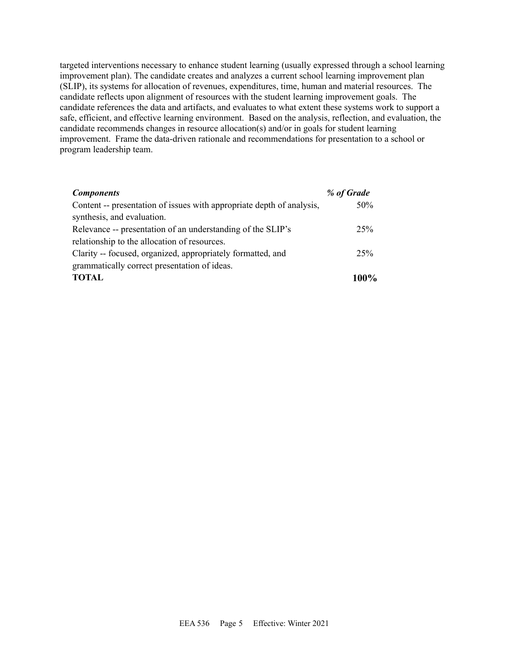targeted interventions necessary to enhance student learning (usually expressed through a school learning improvement plan). The candidate creates and analyzes a current school learning improvement plan (SLIP), its systems for allocation of revenues, expenditures, time, human and material resources. The candidate reflects upon alignment of resources with the student learning improvement goals. The candidate references the data and artifacts, and evaluates to what extent these systems work to support a safe, efficient, and effective learning environment. Based on the analysis, reflection, and evaluation, the candidate recommends changes in resource allocation(s) and/or in goals for student learning improvement. Frame the data-driven rationale and recommendations for presentation to a school or program leadership team.

| <b>Components</b>                                                     | % of Grade |
|-----------------------------------------------------------------------|------------|
| Content -- presentation of issues with appropriate depth of analysis, | 50%        |
| synthesis, and evaluation.                                            |            |
| Relevance -- presentation of an understanding of the SLIP's           | 25%        |
| relationship to the allocation of resources.                          |            |
| Clarity -- focused, organized, appropriately formatted, and           | 25%        |
| grammatically correct presentation of ideas.                          |            |
| <b>TOTAL</b>                                                          | $100\%$    |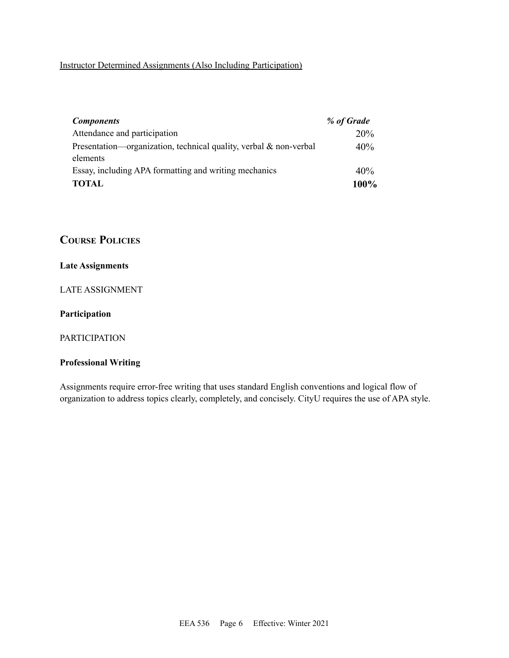# Instructor Determined Assignments (Also Including Participation)

| <b>Components</b>                                                    | % of Grade |
|----------------------------------------------------------------------|------------|
| Attendance and participation                                         | 20%        |
| Presentation—organization, technical quality, verbal $\&$ non-verbal | 40%        |
| elements                                                             |            |
| Essay, including APA formatting and writing mechanics                | 40%        |
| <b>TOTAL</b>                                                         | 100%       |

# **COURSE POLICIES**

## **Late Assignments**

## LATE ASSIGNMENT

#### **Participation**

## PARTICIPATION

## **Professional Writing**

Assignments require error-free writing that uses standard English conventions and logical flow of organization to address topics clearly, completely, and concisely. CityU requires the use of APA style.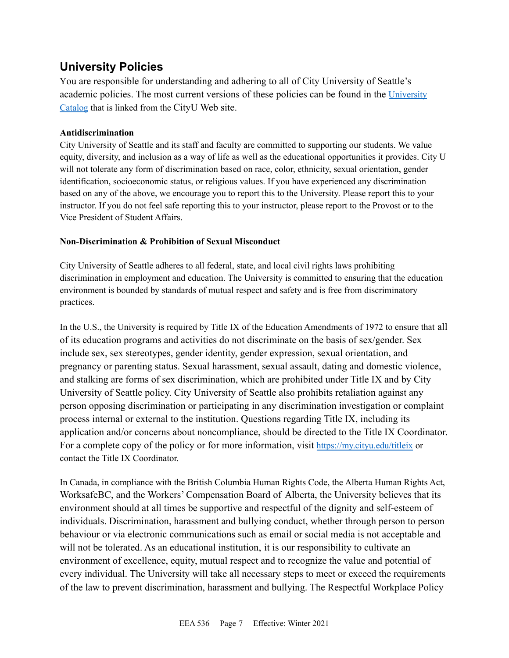# **University Policies**

You are responsible for understanding and adhering to all of City University of Seattle's academic policies. The most current versions of these policies can be found in the [University](https://www.cityu.edu/catalog/) [Catalog](https://www.cityu.edu/catalog/) that is linked from the CityU Web site.

## **Antidiscrimination**

City University of Seattle and its staff and faculty are committed to supporting our students. We value equity, diversity, and inclusion as a way of life as well as the educational opportunities it provides. City U will not tolerate any form of discrimination based on race, color, ethnicity, sexual orientation, gender identification, socioeconomic status, or religious values. If you have experienced any discrimination based on any of the above, we encourage you to report this to the University. Please report this to your instructor. If you do not feel safe reporting this to your instructor, please report to the Provost or to the Vice President of Student Affairs.

## **Non-Discrimination & Prohibition of Sexual Misconduct**

City University of Seattle adheres to all federal, state, and local civil rights laws prohibiting discrimination in employment and education. The University is committed to ensuring that the education environment is bounded by standards of mutual respect and safety and is free from discriminatory practices.

In the U.S., the University is required by Title IX of the Education Amendments of 1972 to ensure that all of its education programs and activities do not discriminate on the basis of sex/gender. Sex include sex, sex stereotypes, gender identity, gender expression, sexual orientation, and pregnancy or parenting status. Sexual harassment, sexual assault, dating and domestic violence, and stalking are forms of sex discrimination, which are prohibited under Title IX and by City University of Seattle policy. City University of Seattle also prohibits retaliation against any person opposing discrimination or participating in any discrimination investigation or complaint process internal or external to the institution. Questions regarding Title IX, including its application and/or concerns about noncompliance, should be directed to the Title IX Coordinator. For a complete copy of the policy or for more information, visit <https://my.cityu.edu/titleix> or contact the Title IX Coordinator.

In Canada, in compliance with the British Columbia Human Rights Code, the Alberta Human Rights Act, WorksafeBC, and the Workers' Compensation Board of Alberta, the University believes that its environment should at all times be supportive and respectful of the dignity and self-esteem of individuals. Discrimination, harassment and bullying conduct, whether through person to person behaviour or via electronic communications such as email or social media is not acceptable and will not be tolerated. As an educational institution, it is our responsibility to cultivate an environment of excellence, equity, mutual respect and to recognize the value and potential of every individual. The University will take all necessary steps to meet or exceed the requirements of the law to prevent discrimination, harassment and bullying. The Respectful Workplace Policy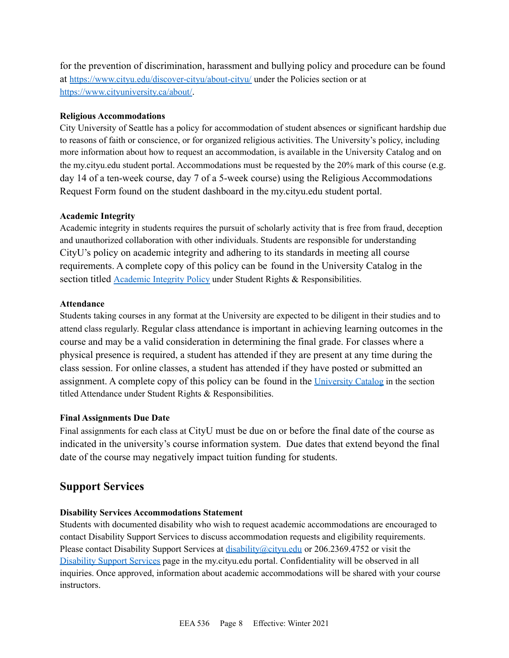for the prevention of discrimination, harassment and bullying policy and procedure can be found at <https://www.cityu.edu/discover-cityu/about-cityu/> under the Policies section or at <https://www.cityuniversity.ca/about/>.

## **Religious Accommodations**

City University of Seattle has a policy for accommodation of student absences or significant hardship due to reasons of faith or conscience, or for organized religious activities. The University's policy, including more information about how to request an accommodation, is available in the University Catalog and on the my.cityu.edu student portal. Accommodations must be requested by the 20% mark of this course (e.g. day 14 of a ten-week course, day 7 of a 5-week course) using the Religious Accommodations Request Form found on the student dashboard in the my.cityu.edu student portal.

## **Academic Integrity**

Academic integrity in students requires the pursuit of scholarly activity that is free from fraud, deception and unauthorized collaboration with other individuals. Students are responsible for understanding CityU's policy on academic integrity and adhering to its standards in meeting all course requirements. A complete copy of this policy can be found in the University Catalog in the section titled [Academic](https://www.cityu.edu/catalog/;) Integrity Policy under Student Rights & Responsibilities.

## **Attendance**

Students taking courses in any format at the University are expected to be diligent in their studies and to attend class regularly. Regular class attendance is important in achieving learning outcomes in the course and may be a valid consideration in determining the final grade. For classes where a physical presence is required, a student has attended if they are present at any time during the class session. For online classes, a student has attended if they have posted or submitted an assignment. A complete copy of this policy can be found in the [University](https://www.cityu.edu/catalog/;) Catalog in the section titled Attendance under Student Rights & Responsibilities.

# **Final Assignments Due Date**

Final assignments for each class at CityU must be due on or before the final date of the course as indicated in the university's course information system. Due dates that extend beyond the final date of the course may negatively impact tuition funding for students.

# **Support Services**

# **Disability Services Accommodations Statement**

Students with documented disability who wish to request academic accommodations are encouraged to contact Disability Support Services to discuss accommodation requests and eligibility requirements. Please contact Disability Support Services at disability@cityu.edu or 206.2369.4752 or visit the [Disability](https://my.cityu.edu/department/disability-support-services/) Support Services page in the my.cityu.edu portal. Confidentiality will be observed in all inquiries. Once approved, information about academic accommodations will be shared with your course instructors.